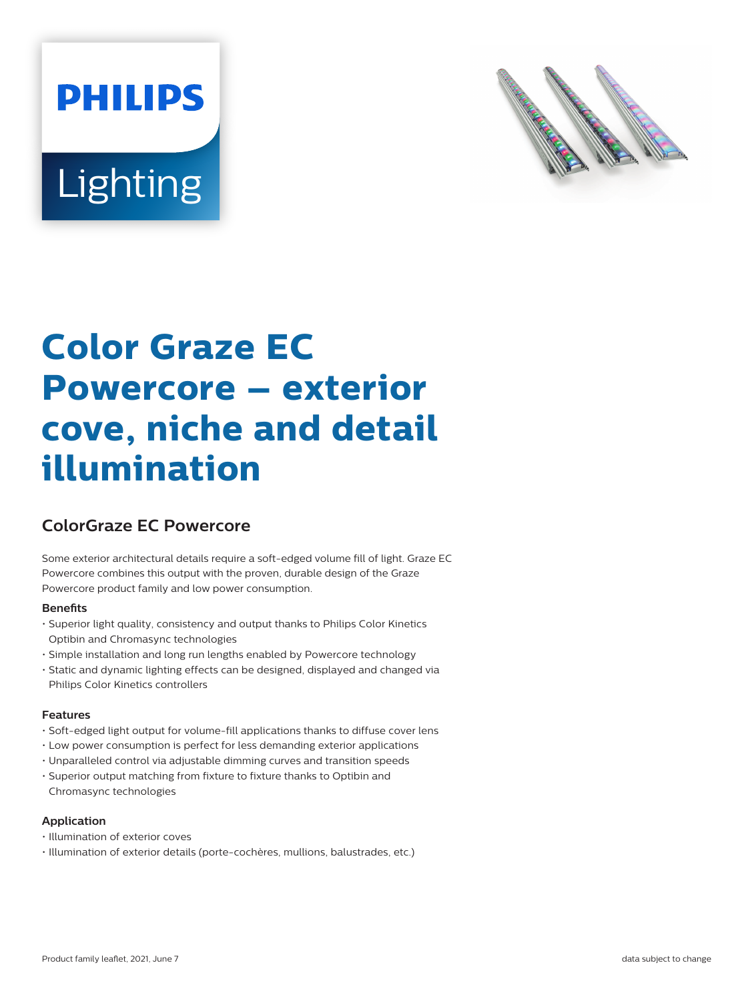# **PHILIPS Lighting**



## **Color Graze EC Powercore – exterior cove, niche and detail illumination**

### **ColorGraze EC Powercore**

Some exterior architectural details require a soft-edged volume fill of light. Graze EC Powercore combines this output with the proven, durable design of the Graze Powercore product family and low power consumption.

#### **Benets**

- Superior light quality, consistency and output thanks to Philips Color Kinetics Optibin and Chromasync technologies
- Simple installation and long run lengths enabled by Powercore technology
- Static and dynamic lighting effects can be designed, displayed and changed via Philips Color Kinetics controllers

#### **Features**

- Soft-edged light output for volume-fill applications thanks to diffuse cover lens
- Low power consumption is perfect for less demanding exterior applications
- Unparalleled control via adjustable dimming curves and transition speeds
- Superior output matching from fixture to fixture thanks to Optibin and Chromasync technologies

#### **Application**

- Illumination of exterior coves
- Illumination of exterior details (porte-cochères, mullions, balustrades, etc.)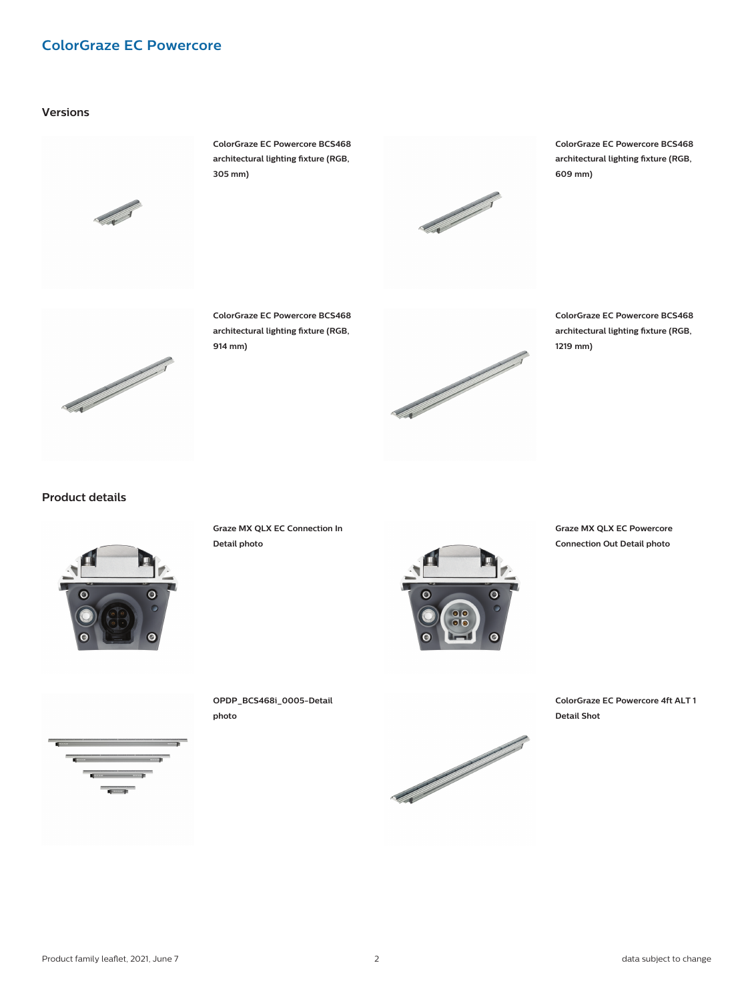#### **ColorGraze EC Powercore**

#### **Versions**



**ColorGraze EC Powercore BCS468** architectural lighting fixture (RGB, **305 mm)**



**ColorGraze EC Powercore BCS468** architectural lighting fixture (RGB, **609 mm)**



**ColorGraze EC Powercore BCS468** architectural lighting fixture (RGB, **914 mm)**



**ColorGraze EC Powercore BCS468** architectural lighting fixture (RGB, **1219 mm)**

**Product details**



**Graze MX QLX EC Connection In Detail photo**



**Graze MX QLX EC Powercore Connection Out Detail photo**





**OPDP\_BCS468i\_0005-Detail photo**